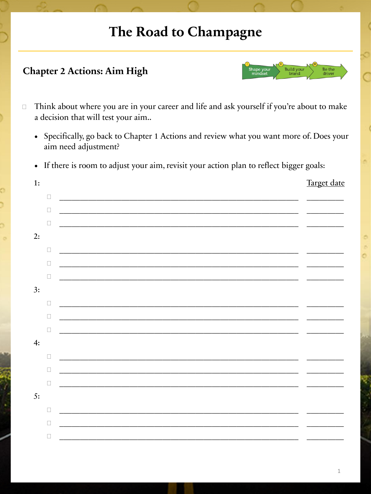## The Road to Champagne

Build you<br>brand

Be the<br>driver

Chapter 2 Actions: Aim High

| $\Box$ | Think about where you are in your career and life and ask yourself if you're about to make<br>a decision that will test your aim |             |  |
|--------|----------------------------------------------------------------------------------------------------------------------------------|-------------|--|
|        | • Specifically, go back to Chapter 1 Actions and review what you want more of. Does your<br>aim need adjustment?                 |             |  |
|        | • If there is room to adjust your aim, revisit your action plan to reflect bigger goals:                                         |             |  |
|        | 1:                                                                                                                               | Target date |  |
|        | $\Box$                                                                                                                           |             |  |
|        | $\Box$                                                                                                                           |             |  |
|        | u                                                                                                                                |             |  |
|        | 2:                                                                                                                               |             |  |
|        | $\Box$                                                                                                                           |             |  |
|        | $\Box$<br>and the control of the control of the control of the control of the control of the control of the control of the       |             |  |
|        | $\Box$                                                                                                                           |             |  |
|        | 3:                                                                                                                               |             |  |
|        | П                                                                                                                                |             |  |
|        | $\Box$                                                                                                                           |             |  |
|        | $\Box$                                                                                                                           |             |  |
|        | 4:                                                                                                                               |             |  |
|        | O                                                                                                                                |             |  |
|        | о                                                                                                                                |             |  |
|        | □                                                                                                                                |             |  |
|        | 5:                                                                                                                               |             |  |
|        | $\Box$                                                                                                                           |             |  |
|        | $\Box$                                                                                                                           |             |  |
|        | O                                                                                                                                |             |  |